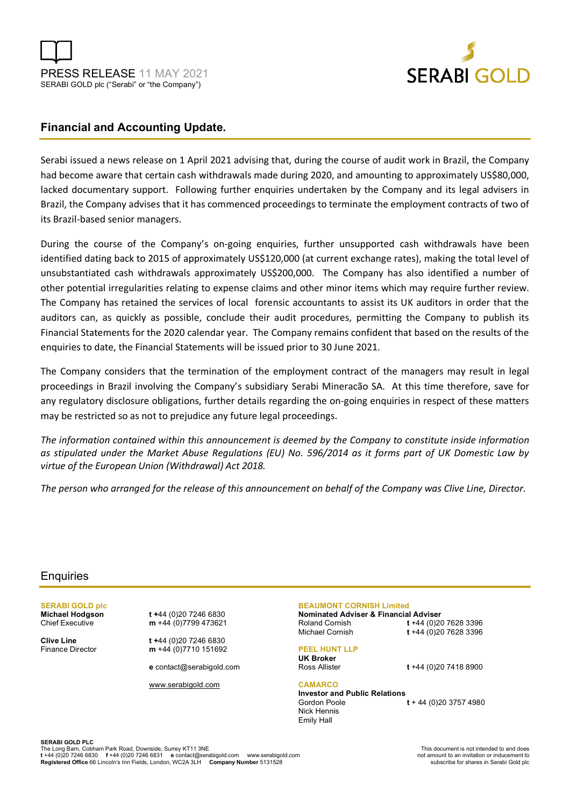



# **Financial and Accounting Update.**

Serabi issued a news release on 1 April 2021 advising that, during the course of audit work in Brazil, the Company had become aware that certain cash withdrawals made during 2020, and amounting to approximately US\$80,000, lacked documentary support. Following further enquiries undertaken by the Company and its legal advisers in Brazil, the Company advises that it has commenced proceedings to terminate the employment contracts of two of its Brazil-based senior managers.

During the course of the Company's on-going enquiries, further unsupported cash withdrawals have been identified dating back to 2015 of approximately US\$120,000 (at current exchange rates), making the total level of unsubstantiated cash withdrawals approximately US\$200,000. The Company has also identified a number of other potential irregularities relating to expense claims and other minor items which may require further review. The Company has retained the services of local forensic accountants to assist its UK auditors in order that the auditors can, as quickly as possible, conclude their audit procedures, permitting the Company to publish its Financial Statements for the 2020 calendar year. The Company remains confident that based on the results of the enquiries to date, the Financial Statements will be issued prior to 30 June 2021.

The Company considers that the termination of the employment contract of the managers may result in legal proceedings in Brazil involving the Company's subsidiary Serabi Mineracão SA. At this time therefore, save for any regulatory disclosure obligations, further details regarding the on-going enquiries in respect of these matters may be restricted so as not to prejudice any future legal proceedings.

*The information contained within this announcement is deemed by the Company to constitute inside information as stipulated under the Market Abuse Regulations (EU) No. 596/2014 as it forms part of UK Domestic Law by virtue of the European Union (Withdrawal) Act 2018.*

*The person who arranged for the release of this announcement on behalf of the Company was Clive Line, Director.* 

## **Enquiries**

**SERABI GOLD plc** 

**Michael Hodgson t** +44 (0)20 7246 6830<br>Chief Executive **m** +44 (0)7799 473621 m +44 (0)7799 473621

**Clive Line t +**44 (0)20 7246 6830 Finance Director **m** +44 (0)7710 151692

**e** contact@serabigold.com

www.serabigold.com

## **BEAUMONT CORNISH Limited**

**Nominated Adviser & Financial Adviser**  Roland Cornish **t** +44 (0)20 7628 3396

Michael Cornish **t** +44 (0)20 7628 3396

Ross Allister **t** +44 (0)20 7418 8900

## **PEEL HUNT LLP**

**UK Broker**

## **CAMARCO**

**Investor and Public Relations** Gordon Poole **t** + 44 (0)20 3757 4980 Nick Hennis Emily Hall

**SERABI GOLD PLC** 

The Long Barn, Cobham Park Road, Downside, Surrey KT11 3NE<br>t +44 (0)20 7246 6830 f +44 (0)20 7246 6831 e contact@serabigold.com www.serabigold.com not amount to an invitation or inducement to **Registered Office** 66 Lincoln's Inn Fields, London, WC2A 3LH **Company Number** 5131528 subscribe for shares in Serabi Gold plc